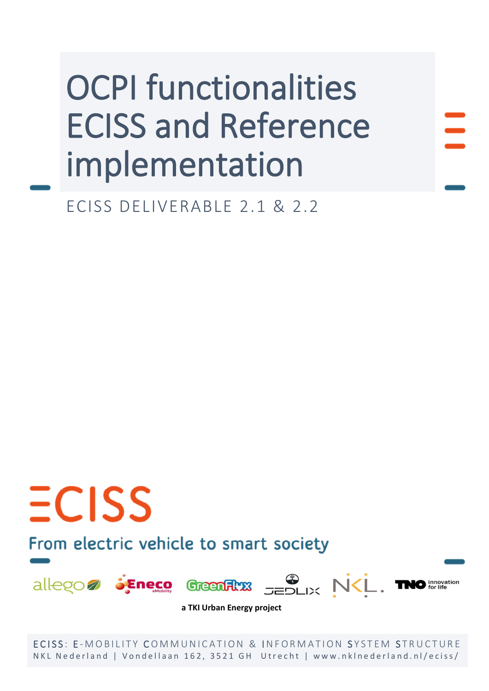ECISS DELIVERABLE 2.1 & 2.2

## From electric vehicle to smart society

 $ECISS$ 



**a TKI Urban Energy project**

ECISS: E-MOBILITY COMMUNICATION & INFORMATION SYSTEM STRUCTURE NKL Nederland | Vondellaan 162, 3521 GH Utrecht | www.nklnederland.nl/eciss/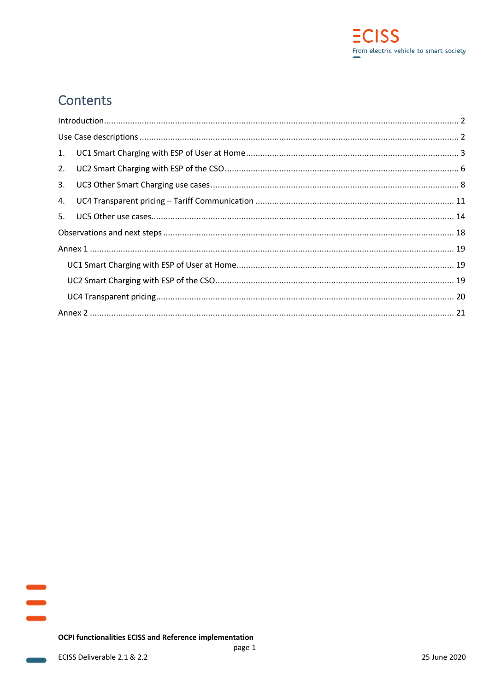

## Contents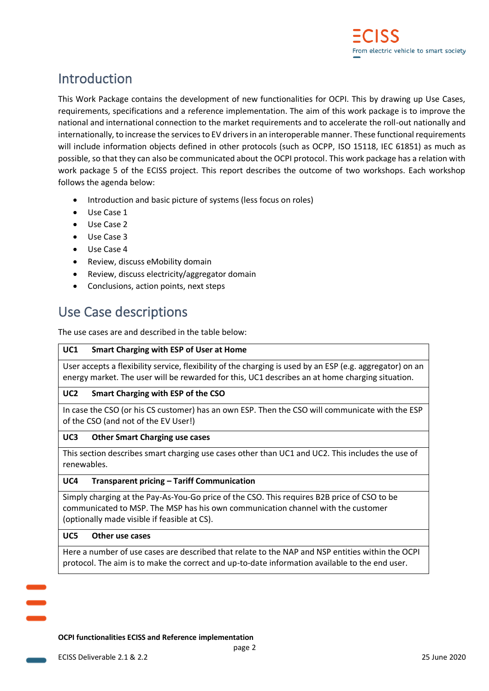## <span id="page-2-0"></span>Introduction

This Work Package contains the development of new functionalities for OCPI. This by drawing up Use Cases, requirements, specifications and a reference implementation. The aim of this work package is to improve the national and international connection to the market requirements and to accelerate the roll-out nationally and internationally, to increase the services to EV drivers in an interoperable manner. These functional requirements will include information objects defined in other protocols (such as OCPP, ISO 15118, IEC 61851) as much as possible, so that they can also be communicated about the OCPI protocol. This work package has a relation with work package 5 of the ECISS project. This report describes the outcome of two workshops. Each workshop follows the agenda below:

- Introduction and basic picture of systems (less focus on roles)
- Use Case 1
- Use Case 2
- Use Case 3
- Use Case 4
- Review, discuss eMobility domain
- Review, discuss electricity/aggregator domain
- Conclusions, action points, next steps

## <span id="page-2-1"></span>Use Case descriptions

The use cases are and described in the table below:

#### **UC1 Smart Charging with ESP of User at Home**

User accepts a flexibility service, flexibility of the charging is used by an ESP (e.g. aggregator) on an energy market. The user will be rewarded for this, UC1 describes an at home charging situation.

#### **UC2 Smart Charging with ESP of the CSO**

In case the CSO (or his CS customer) has an own ESP. Then the CSO will communicate with the ESP of the CSO (and not of the EV User!)

#### **UC3 Other Smart Charging use cases**

This section describes smart charging use cases other than UC1 and UC2. This includes the use of renewables.

#### **UC4 Transparent pricing – Tariff Communication**

Simply charging at the Pay-As-You-Go price of the CSO. This requires B2B price of CSO to be communicated to MSP. The MSP has his own communication channel with the customer (optionally made visible if feasible at CS).

#### **UC5 Other use cases**

Here a number of use cases are described that relate to the NAP and NSP entities within the OCPI protocol. The aim is to make the correct and up-to-date information available to the end user.

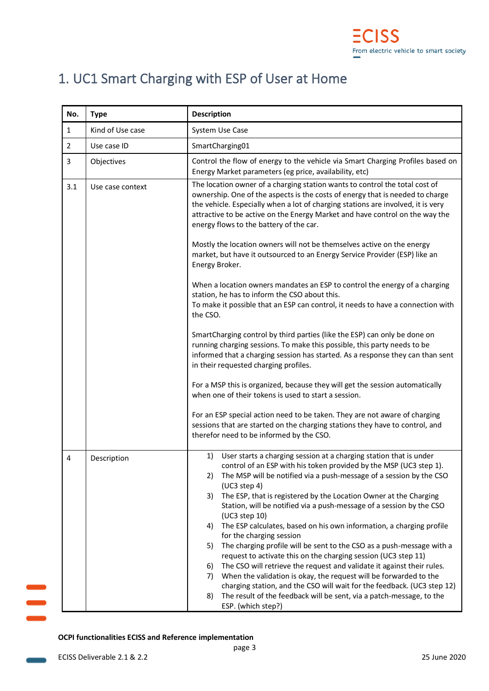## <span id="page-3-0"></span>1. UC1 Smart Charging with ESP of User at Home

| No.            | <b>Type</b>      | <b>Description</b>                                                                                                                                                                                                                                                                                                                                                                                                                                                                                                                                                                                                                                                                                                                                                                                                                                                                                                                                                                             |
|----------------|------------------|------------------------------------------------------------------------------------------------------------------------------------------------------------------------------------------------------------------------------------------------------------------------------------------------------------------------------------------------------------------------------------------------------------------------------------------------------------------------------------------------------------------------------------------------------------------------------------------------------------------------------------------------------------------------------------------------------------------------------------------------------------------------------------------------------------------------------------------------------------------------------------------------------------------------------------------------------------------------------------------------|
| $\mathbf{1}$   | Kind of Use case | System Use Case                                                                                                                                                                                                                                                                                                                                                                                                                                                                                                                                                                                                                                                                                                                                                                                                                                                                                                                                                                                |
| $\overline{2}$ | Use case ID      | SmartCharging01                                                                                                                                                                                                                                                                                                                                                                                                                                                                                                                                                                                                                                                                                                                                                                                                                                                                                                                                                                                |
| 3              | Objectives       | Control the flow of energy to the vehicle via Smart Charging Profiles based on<br>Energy Market parameters (eg price, availability, etc)                                                                                                                                                                                                                                                                                                                                                                                                                                                                                                                                                                                                                                                                                                                                                                                                                                                       |
| 3.1            | Use case context | The location owner of a charging station wants to control the total cost of<br>ownership. One of the aspects is the costs of energy that is needed to charge<br>the vehicle. Especially when a lot of charging stations are involved, it is very<br>attractive to be active on the Energy Market and have control on the way the<br>energy flows to the battery of the car.                                                                                                                                                                                                                                                                                                                                                                                                                                                                                                                                                                                                                    |
|                |                  | Mostly the location owners will not be themselves active on the energy<br>market, but have it outsourced to an Energy Service Provider (ESP) like an<br>Energy Broker.                                                                                                                                                                                                                                                                                                                                                                                                                                                                                                                                                                                                                                                                                                                                                                                                                         |
|                |                  | When a location owners mandates an ESP to control the energy of a charging<br>station, he has to inform the CSO about this.<br>To make it possible that an ESP can control, it needs to have a connection with<br>the CSO.                                                                                                                                                                                                                                                                                                                                                                                                                                                                                                                                                                                                                                                                                                                                                                     |
|                |                  | SmartCharging control by third parties (like the ESP) can only be done on<br>running charging sessions. To make this possible, this party needs to be<br>informed that a charging session has started. As a response they can than sent<br>in their requested charging profiles.                                                                                                                                                                                                                                                                                                                                                                                                                                                                                                                                                                                                                                                                                                               |
|                |                  | For a MSP this is organized, because they will get the session automatically<br>when one of their tokens is used to start a session.                                                                                                                                                                                                                                                                                                                                                                                                                                                                                                                                                                                                                                                                                                                                                                                                                                                           |
|                |                  | For an ESP special action need to be taken. They are not aware of charging<br>sessions that are started on the charging stations they have to control, and<br>therefor need to be informed by the CSO.                                                                                                                                                                                                                                                                                                                                                                                                                                                                                                                                                                                                                                                                                                                                                                                         |
| 4              | Description      | User starts a charging session at a charging station that is under<br>1)<br>control of an ESP with his token provided by the MSP (UC3 step 1).<br>The MSP will be notified via a push-message of a session by the CSO<br>2)<br>(UC3 step 4)<br>The ESP, that is registered by the Location Owner at the Charging<br>3)<br>Station, will be notified via a push-message of a session by the CSO<br>(UC3 step 10)<br>The ESP calculates, based on his own information, a charging profile<br>4)<br>for the charging session<br>The charging profile will be sent to the CSO as a push-message with a<br>5)<br>request to activate this on the charging session (UC3 step 11)<br>The CSO will retrieve the request and validate it against their rules.<br>6)<br>When the validation is okay, the request will be forwarded to the<br>7)<br>charging station, and the CSO will wait for the feedback. (UC3 step 12)<br>The result of the feedback will be sent, via a patch-message, to the<br>8) |

#### **OCPI functionalities ECISS and Reference implementation**

 $\equiv$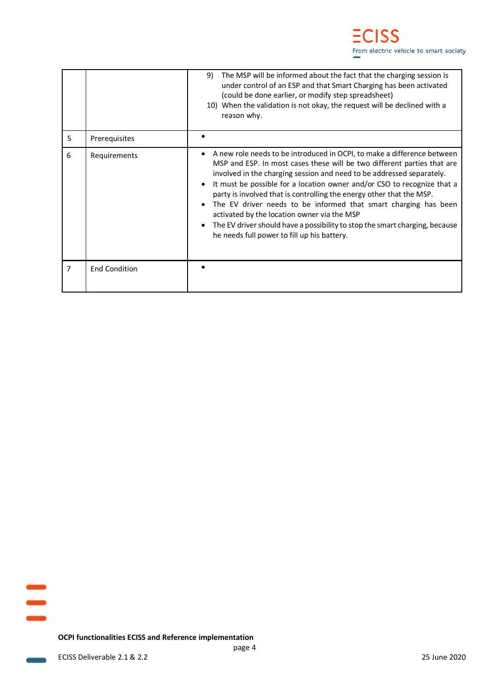|   |                      | The MSP will be informed about the fact that the charging session is<br>9)<br>under control of an ESP and that Smart Charging has been activated<br>(could be done earlier, or modify step spreadsheet)<br>10) When the validation is not okay, the request will be declined with a<br>reason why.                                                                                                                                                                                                                                                                                                                             |
|---|----------------------|--------------------------------------------------------------------------------------------------------------------------------------------------------------------------------------------------------------------------------------------------------------------------------------------------------------------------------------------------------------------------------------------------------------------------------------------------------------------------------------------------------------------------------------------------------------------------------------------------------------------------------|
| 5 | Prerequisites        |                                                                                                                                                                                                                                                                                                                                                                                                                                                                                                                                                                                                                                |
| 6 | Requirements         | A new role needs to be introduced in OCPI, to make a difference between<br>MSP and ESP. In most cases these will be two different parties that are<br>involved in the charging session and need to be addressed separately.<br>It must be possible for a location owner and/or CSO to recognize that a<br>party is involved that is controlling the energy other that the MSP.<br>The EV driver needs to be informed that smart charging has been<br>activated by the location owner via the MSP<br>The EV driver should have a possibility to stop the smart charging, because<br>he needs full power to fill up his battery. |
| 7 | <b>End Condition</b> |                                                                                                                                                                                                                                                                                                                                                                                                                                                                                                                                                                                                                                |

**Contract**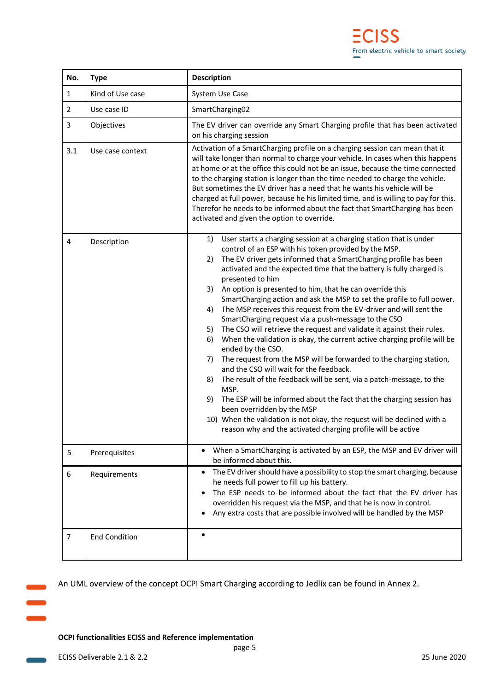| No.            | <b>Type</b>          | <b>Description</b>                                                                                                                                                                                                                                                                                                                                                                                                                                                                                                                                                                                                                                                                                                                                                                                                                                                                                                                                                                                                                                                                                                                                                                                                                                    |
|----------------|----------------------|-------------------------------------------------------------------------------------------------------------------------------------------------------------------------------------------------------------------------------------------------------------------------------------------------------------------------------------------------------------------------------------------------------------------------------------------------------------------------------------------------------------------------------------------------------------------------------------------------------------------------------------------------------------------------------------------------------------------------------------------------------------------------------------------------------------------------------------------------------------------------------------------------------------------------------------------------------------------------------------------------------------------------------------------------------------------------------------------------------------------------------------------------------------------------------------------------------------------------------------------------------|
| 1              | Kind of Use case     | System Use Case                                                                                                                                                                                                                                                                                                                                                                                                                                                                                                                                                                                                                                                                                                                                                                                                                                                                                                                                                                                                                                                                                                                                                                                                                                       |
| 2              | Use case ID          | SmartCharging02                                                                                                                                                                                                                                                                                                                                                                                                                                                                                                                                                                                                                                                                                                                                                                                                                                                                                                                                                                                                                                                                                                                                                                                                                                       |
| 3              | Objectives           | The EV driver can override any Smart Charging profile that has been activated<br>on his charging session                                                                                                                                                                                                                                                                                                                                                                                                                                                                                                                                                                                                                                                                                                                                                                                                                                                                                                                                                                                                                                                                                                                                              |
| 3.1            | Use case context     | Activation of a SmartCharging profile on a charging session can mean that it<br>will take longer than normal to charge your vehicle. In cases when this happens<br>at home or at the office this could not be an issue, because the time connected<br>to the charging station is longer than the time needed to charge the vehicle.<br>But sometimes the EV driver has a need that he wants his vehicle will be<br>charged at full power, because he his limited time, and is willing to pay for this.<br>Therefor he needs to be informed about the fact that SmartCharging has been<br>activated and given the option to override.                                                                                                                                                                                                                                                                                                                                                                                                                                                                                                                                                                                                                  |
| 4              | Description          | User starts a charging session at a charging station that is under<br>1)<br>control of an ESP with his token provided by the MSP.<br>The EV driver gets informed that a SmartCharging profile has been<br>2)<br>activated and the expected time that the battery is fully charged is<br>presented to him<br>3)<br>An option is presented to him, that he can override this<br>SmartCharging action and ask the MSP to set the profile to full power.<br>The MSP receives this request from the EV-driver and will sent the<br>4)<br>SmartCharging request via a push-message to the CSO<br>The CSO will retrieve the request and validate it against their rules.<br>5)<br>6)<br>When the validation is okay, the current active charging profile will be<br>ended by the CSO.<br>The request from the MSP will be forwarded to the charging station,<br>7)<br>and the CSO will wait for the feedback.<br>The result of the feedback will be sent, via a patch-message, to the<br>8)<br>MSP.<br>The ESP will be informed about the fact that the charging session has<br>9)<br>been overridden by the MSP<br>10) When the validation is not okay, the request will be declined with a<br>reason why and the activated charging profile will be active |
| 5              | Prerequisites        | When a SmartCharging is activated by an ESP, the MSP and EV driver will<br>$\bullet$<br>be informed about this.                                                                                                                                                                                                                                                                                                                                                                                                                                                                                                                                                                                                                                                                                                                                                                                                                                                                                                                                                                                                                                                                                                                                       |
| 6              | Requirements         | The EV driver should have a possibility to stop the smart charging, because<br>٠<br>he needs full power to fill up his battery.<br>The ESP needs to be informed about the fact that the EV driver has<br>٠<br>overridden his request via the MSP, and that he is now in control.<br>Any extra costs that are possible involved will be handled by the MSP                                                                                                                                                                                                                                                                                                                                                                                                                                                                                                                                                                                                                                                                                                                                                                                                                                                                                             |
| $\overline{7}$ | <b>End Condition</b> | $\bullet$                                                                                                                                                                                                                                                                                                                                                                                                                                                                                                                                                                                                                                                                                                                                                                                                                                                                                                                                                                                                                                                                                                                                                                                                                                             |

An UML overview of the concept OCPI Smart Charging according to Jedlix can be found in [Annex 2.](#page-21-0)

#### **OCPI functionalities ECISS and Reference implementation**

an a

 $\blacksquare$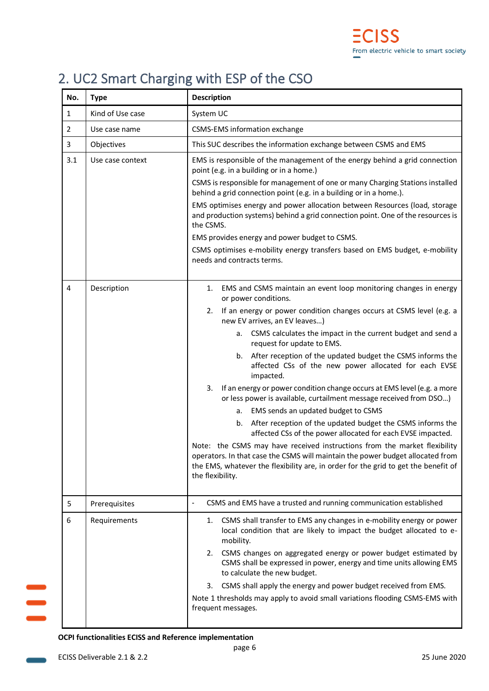## <span id="page-6-0"></span>2. UC2 Smart Charging with ESP of the CSO

| No.            | <b>Type</b>      | <b>Description</b>                                                                                                                                                                                                                                                    |
|----------------|------------------|-----------------------------------------------------------------------------------------------------------------------------------------------------------------------------------------------------------------------------------------------------------------------|
| $\mathbf{1}$   | Kind of Use case | System UC                                                                                                                                                                                                                                                             |
| $\overline{2}$ | Use case name    | <b>CSMS-EMS information exchange</b>                                                                                                                                                                                                                                  |
| 3              | Objectives       | This SUC describes the information exchange between CSMS and EMS                                                                                                                                                                                                      |
| 3.1            | Use case context | EMS is responsible of the management of the energy behind a grid connection<br>point (e.g. in a building or in a home.)                                                                                                                                               |
|                |                  | CSMS is responsible for management of one or many Charging Stations installed<br>behind a grid connection point (e.g. in a building or in a home.).                                                                                                                   |
|                |                  | EMS optimises energy and power allocation between Resources (load, storage<br>and production systems) behind a grid connection point. One of the resources is<br>the CSMS.                                                                                            |
|                |                  | EMS provides energy and power budget to CSMS.                                                                                                                                                                                                                         |
|                |                  | CSMS optimises e-mobility energy transfers based on EMS budget, e-mobility<br>needs and contracts terms.                                                                                                                                                              |
| 4              | Description      | EMS and CSMS maintain an event loop monitoring changes in energy<br>1.<br>or power conditions.                                                                                                                                                                        |
|                |                  | If an energy or power condition changes occurs at CSMS level (e.g. a<br>2.<br>new EV arrives, an EV leaves)                                                                                                                                                           |
|                |                  | CSMS calculates the impact in the current budget and send a<br>а.<br>request for update to EMS.                                                                                                                                                                       |
|                |                  | After reception of the updated budget the CSMS informs the<br>b.<br>affected CSs of the new power allocated for each EVSE<br>impacted.                                                                                                                                |
|                |                  | If an energy or power condition change occurs at EMS level (e.g. a more<br>3.<br>or less power is available, curtailment message received from DSO)                                                                                                                   |
|                |                  | a. EMS sends an updated budget to CSMS                                                                                                                                                                                                                                |
|                |                  | After reception of the updated budget the CSMS informs the<br>b.<br>affected CSs of the power allocated for each EVSE impacted.                                                                                                                                       |
|                |                  | Note: the CSMS may have received instructions from the market flexibility<br>operators. In that case the CSMS will maintain the power budget allocated from<br>the EMS, whatever the flexibility are, in order for the grid to get the benefit of<br>the flexibility. |
| 5              | Prerequisites    | CSMS and EMS have a trusted and running communication established                                                                                                                                                                                                     |
| 6              | Requirements     | CSMS shall transfer to EMS any changes in e-mobility energy or power<br>1.<br>local condition that are likely to impact the budget allocated to e-<br>mobility.<br>CSMS changes on aggregated energy or power budget estimated by<br>2.                               |
|                |                  | CSMS shall be expressed in power, energy and time units allowing EMS<br>to calculate the new budget.                                                                                                                                                                  |
|                |                  | CSMS shall apply the energy and power budget received from EMS.<br>3.                                                                                                                                                                                                 |
|                |                  | Note 1 thresholds may apply to avoid small variations flooding CSMS-EMS with<br>frequent messages.                                                                                                                                                                    |

#### **OCPI functionalities ECISS and Reference implementation**

 $\equiv$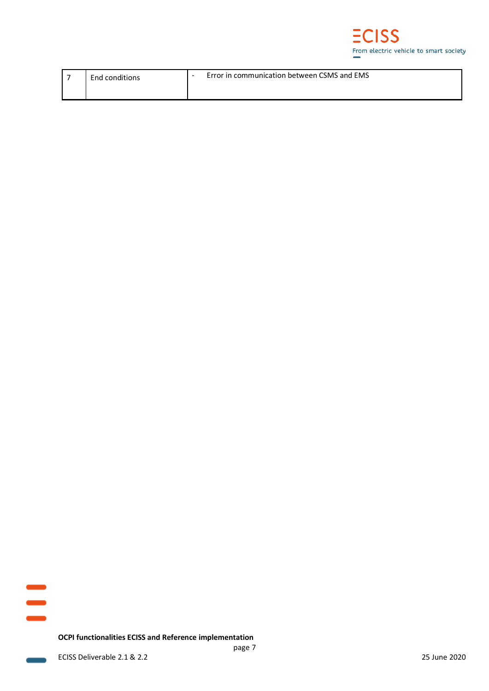

| End conditions | Error in communication between CSMS and EMS |
|----------------|---------------------------------------------|
|                |                                             |

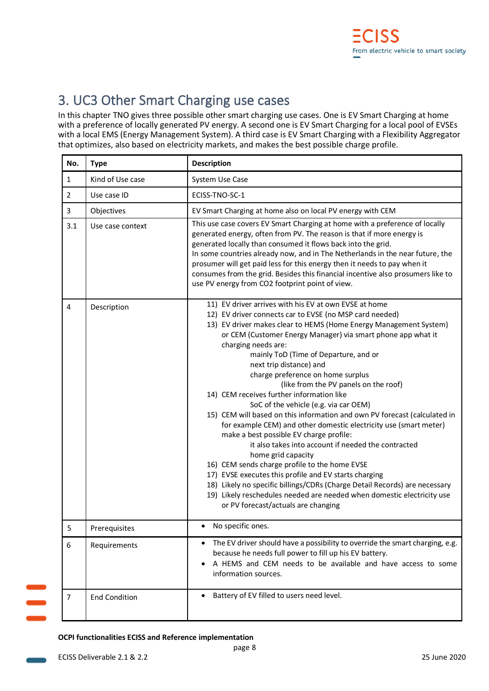## <span id="page-8-0"></span>3. UC3 Other Smart Charging use cases

In this chapter TNO gives three possible other smart charging use cases. One is EV Smart Charging at home with a preference of locally generated PV energy. A second one is EV Smart Charging for a local pool of EVSEs with a local EMS (Energy Management System). A third case is EV Smart Charging with a Flexibility Aggregator that optimizes, also based on electricity markets, and makes the best possible charge profile.

| No.            | <b>Type</b>          | <b>Description</b>                                                                                                                                                                                                                                                                                                                                                                                                                                                                                                                                                                                                                                                                                                                                                                                                                                                                                                                                                                                                                                                                                      |
|----------------|----------------------|---------------------------------------------------------------------------------------------------------------------------------------------------------------------------------------------------------------------------------------------------------------------------------------------------------------------------------------------------------------------------------------------------------------------------------------------------------------------------------------------------------------------------------------------------------------------------------------------------------------------------------------------------------------------------------------------------------------------------------------------------------------------------------------------------------------------------------------------------------------------------------------------------------------------------------------------------------------------------------------------------------------------------------------------------------------------------------------------------------|
| $\mathbf{1}$   | Kind of Use case     | System Use Case                                                                                                                                                                                                                                                                                                                                                                                                                                                                                                                                                                                                                                                                                                                                                                                                                                                                                                                                                                                                                                                                                         |
| $\overline{2}$ | Use case ID          | ECISS-TNO-SC-1                                                                                                                                                                                                                                                                                                                                                                                                                                                                                                                                                                                                                                                                                                                                                                                                                                                                                                                                                                                                                                                                                          |
| 3              | Objectives           | EV Smart Charging at home also on local PV energy with CEM                                                                                                                                                                                                                                                                                                                                                                                                                                                                                                                                                                                                                                                                                                                                                                                                                                                                                                                                                                                                                                              |
| 3.1            | Use case context     | This use case covers EV Smart Charging at home with a preference of locally<br>generated energy, often from PV. The reason is that if more energy is<br>generated locally than consumed it flows back into the grid.<br>In some countries already now, and in The Netherlands in the near future, the<br>prosumer will get paid less for this energy then it needs to pay when it<br>consumes from the grid. Besides this financial incentive also prosumers like to<br>use PV energy from CO2 footprint point of view.                                                                                                                                                                                                                                                                                                                                                                                                                                                                                                                                                                                 |
| 4              | Description          | 11) EV driver arrives with his EV at own EVSE at home<br>12) EV driver connects car to EVSE (no MSP card needed)<br>13) EV driver makes clear to HEMS (Home Energy Management System)<br>or CEM (Customer Energy Manager) via smart phone app what it<br>charging needs are:<br>mainly ToD (Time of Departure, and or<br>next trip distance) and<br>charge preference on home surplus<br>(like from the PV panels on the roof)<br>14) CEM receives further information like<br>SoC of the vehicle (e.g. via car OEM)<br>15) CEM will based on this information and own PV forecast (calculated in<br>for example CEM) and other domestic electricity use (smart meter)<br>make a best possible EV charge profile:<br>it also takes into account if needed the contracted<br>home grid capacity<br>16) CEM sends charge profile to the home EVSE<br>17) EVSE executes this profile and EV starts charging<br>18) Likely no specific billings/CDRs (Charge Detail Records) are necessary<br>19) Likely reschedules needed are needed when domestic electricity use<br>or PV forecast/actuals are changing |
| 5              | Prerequisites        | No specific ones.                                                                                                                                                                                                                                                                                                                                                                                                                                                                                                                                                                                                                                                                                                                                                                                                                                                                                                                                                                                                                                                                                       |
| 6              | Requirements         | The EV driver should have a possibility to override the smart charging, e.g.<br>because he needs full power to fill up his EV battery.<br>A HEMS and CEM needs to be available and have access to some<br>٠<br>information sources.                                                                                                                                                                                                                                                                                                                                                                                                                                                                                                                                                                                                                                                                                                                                                                                                                                                                     |
| 7              | <b>End Condition</b> | Battery of EV filled to users need level.                                                                                                                                                                                                                                                                                                                                                                                                                                                                                                                                                                                                                                                                                                                                                                                                                                                                                                                                                                                                                                                               |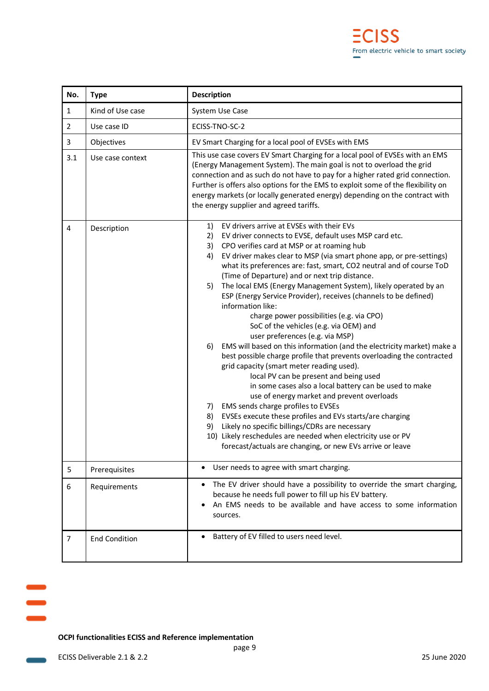| No.            | <b>Type</b>          | <b>Description</b>                                                                                                                                                                                                                                                                                                                                                                                                                                                                                                                                                                                                                                                                                                                                                                                                                                                                                                                                                                                                                                                                                                                                                                                                                                                                                                                |
|----------------|----------------------|-----------------------------------------------------------------------------------------------------------------------------------------------------------------------------------------------------------------------------------------------------------------------------------------------------------------------------------------------------------------------------------------------------------------------------------------------------------------------------------------------------------------------------------------------------------------------------------------------------------------------------------------------------------------------------------------------------------------------------------------------------------------------------------------------------------------------------------------------------------------------------------------------------------------------------------------------------------------------------------------------------------------------------------------------------------------------------------------------------------------------------------------------------------------------------------------------------------------------------------------------------------------------------------------------------------------------------------|
| $\mathbf{1}$   | Kind of Use case     | System Use Case                                                                                                                                                                                                                                                                                                                                                                                                                                                                                                                                                                                                                                                                                                                                                                                                                                                                                                                                                                                                                                                                                                                                                                                                                                                                                                                   |
| $\overline{2}$ | Use case ID          | ECISS-TNO-SC-2                                                                                                                                                                                                                                                                                                                                                                                                                                                                                                                                                                                                                                                                                                                                                                                                                                                                                                                                                                                                                                                                                                                                                                                                                                                                                                                    |
| 3              | Objectives           | EV Smart Charging for a local pool of EVSEs with EMS                                                                                                                                                                                                                                                                                                                                                                                                                                                                                                                                                                                                                                                                                                                                                                                                                                                                                                                                                                                                                                                                                                                                                                                                                                                                              |
| 3.1            | Use case context     | This use case covers EV Smart Charging for a local pool of EVSEs with an EMS<br>(Energy Management System). The main goal is not to overload the grid<br>connection and as such do not have to pay for a higher rated grid connection.<br>Further is offers also options for the EMS to exploit some of the flexibility on<br>energy markets (or locally generated energy) depending on the contract with<br>the energy supplier and agreed tariffs.                                                                                                                                                                                                                                                                                                                                                                                                                                                                                                                                                                                                                                                                                                                                                                                                                                                                              |
| 4              | Description          | EV drivers arrive at EVSEs with their EVs<br>1)<br>EV driver connects to EVSE, default uses MSP card etc.<br>2)<br>3)<br>CPO verifies card at MSP or at roaming hub<br>4)<br>EV driver makes clear to MSP (via smart phone app, or pre-settings)<br>what its preferences are: fast, smart, CO2 neutral and of course ToD<br>(Time of Departure) and or next trip distance.<br>The local EMS (Energy Management System), likely operated by an<br>5)<br>ESP (Energy Service Provider), receives (channels to be defined)<br>information like:<br>charge power possibilities (e.g. via CPO)<br>SoC of the vehicles (e.g. via OEM) and<br>user preferences (e.g. via MSP)<br>EMS will based on this information (and the electricity market) make a<br>6)<br>best possible charge profile that prevents overloading the contracted<br>grid capacity (smart meter reading used).<br>local PV can be present and being used<br>in some cases also a local battery can be used to make<br>use of energy market and prevent overloads<br>EMS sends charge profiles to EVSEs<br>7)<br>8)<br>EVSEs execute these profiles and EVs starts/are charging<br>9)<br>Likely no specific billings/CDRs are necessary<br>10) Likely reschedules are needed when electricity use or PV<br>forecast/actuals are changing, or new EVs arrive or leave |
| 5              | Prerequisites        | User needs to agree with smart charging.<br>$\bullet$                                                                                                                                                                                                                                                                                                                                                                                                                                                                                                                                                                                                                                                                                                                                                                                                                                                                                                                                                                                                                                                                                                                                                                                                                                                                             |
| 6              | Requirements         | The EV driver should have a possibility to override the smart charging,<br>because he needs full power to fill up his EV battery.<br>An EMS needs to be available and have access to some information<br>sources.                                                                                                                                                                                                                                                                                                                                                                                                                                                                                                                                                                                                                                                                                                                                                                                                                                                                                                                                                                                                                                                                                                                 |
| $\overline{7}$ | <b>End Condition</b> | Battery of EV filled to users need level.                                                                                                                                                                                                                                                                                                                                                                                                                                                                                                                                                                                                                                                                                                                                                                                                                                                                                                                                                                                                                                                                                                                                                                                                                                                                                         |

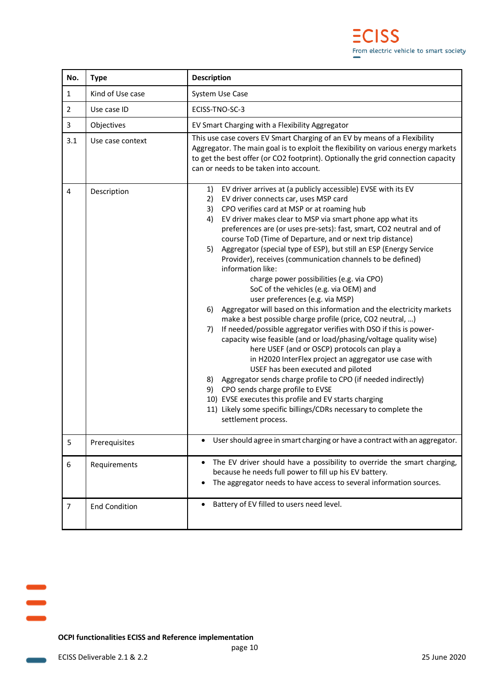| No.            | <b>Type</b>          | <b>Description</b>                                                                                                                                                                                                                                                                                                                                                                                                                                                                                                                                                                                                                                                                                                                                                                                                                                                                                                                                                                                                                                                                                                                                                                                                                                                                                                                                                                       |
|----------------|----------------------|------------------------------------------------------------------------------------------------------------------------------------------------------------------------------------------------------------------------------------------------------------------------------------------------------------------------------------------------------------------------------------------------------------------------------------------------------------------------------------------------------------------------------------------------------------------------------------------------------------------------------------------------------------------------------------------------------------------------------------------------------------------------------------------------------------------------------------------------------------------------------------------------------------------------------------------------------------------------------------------------------------------------------------------------------------------------------------------------------------------------------------------------------------------------------------------------------------------------------------------------------------------------------------------------------------------------------------------------------------------------------------------|
| 1              | Kind of Use case     | System Use Case                                                                                                                                                                                                                                                                                                                                                                                                                                                                                                                                                                                                                                                                                                                                                                                                                                                                                                                                                                                                                                                                                                                                                                                                                                                                                                                                                                          |
| $\overline{2}$ | Use case ID          | ECISS-TNO-SC-3                                                                                                                                                                                                                                                                                                                                                                                                                                                                                                                                                                                                                                                                                                                                                                                                                                                                                                                                                                                                                                                                                                                                                                                                                                                                                                                                                                           |
| 3              | Objectives           | EV Smart Charging with a Flexibility Aggregator                                                                                                                                                                                                                                                                                                                                                                                                                                                                                                                                                                                                                                                                                                                                                                                                                                                                                                                                                                                                                                                                                                                                                                                                                                                                                                                                          |
| 3.1            | Use case context     | This use case covers EV Smart Charging of an EV by means of a Flexibility<br>Aggregator. The main goal is to exploit the flexibility on various energy markets<br>to get the best offer (or CO2 footprint). Optionally the grid connection capacity<br>can or needs to be taken into account.                                                                                                                                                                                                                                                                                                                                                                                                                                                                                                                                                                                                                                                                                                                                                                                                                                                                                                                                                                                                                                                                                            |
| 4              | Description          | EV driver arrives at (a publicly accessible) EVSE with its EV<br>1)<br>2)<br>EV driver connects car, uses MSP card<br>CPO verifies card at MSP or at roaming hub<br>3)<br>EV driver makes clear to MSP via smart phone app what its<br>4)<br>preferences are (or uses pre-sets): fast, smart, CO2 neutral and of<br>course ToD (Time of Departure, and or next trip distance)<br>Aggregator (special type of ESP), but still an ESP (Energy Service<br>5)<br>Provider), receives (communication channels to be defined)<br>information like:<br>charge power possibilities (e.g. via CPO)<br>SoC of the vehicles (e.g. via OEM) and<br>user preferences (e.g. via MSP)<br>Aggregator will based on this information and the electricity markets<br>6)<br>make a best possible charge profile (price, CO2 neutral, )<br>If needed/possible aggregator verifies with DSO if this is power-<br>7)<br>capacity wise feasible (and or load/phasing/voltage quality wise)<br>here USEF (and or OSCP) protocols can play a<br>in H2020 InterFlex project an aggregator use case with<br>USEF has been executed and piloted<br>Aggregator sends charge profile to CPO (if needed indirectly)<br>8)<br>9)<br>CPO sends charge profile to EVSE<br>10) EVSE executes this profile and EV starts charging<br>11) Likely some specific billings/CDRs necessary to complete the<br>settlement process. |
| 5              | Prerequisites        | User should agree in smart charging or have a contract with an aggregator.                                                                                                                                                                                                                                                                                                                                                                                                                                                                                                                                                                                                                                                                                                                                                                                                                                                                                                                                                                                                                                                                                                                                                                                                                                                                                                               |
| 6              | Requirements         | The EV driver should have a possibility to override the smart charging,<br>because he needs full power to fill up his EV battery.<br>The aggregator needs to have access to several information sources.<br>$\bullet$                                                                                                                                                                                                                                                                                                                                                                                                                                                                                                                                                                                                                                                                                                                                                                                                                                                                                                                                                                                                                                                                                                                                                                    |
| 7              | <b>End Condition</b> | Battery of EV filled to users need level.<br>$\bullet$                                                                                                                                                                                                                                                                                                                                                                                                                                                                                                                                                                                                                                                                                                                                                                                                                                                                                                                                                                                                                                                                                                                                                                                                                                                                                                                                   |

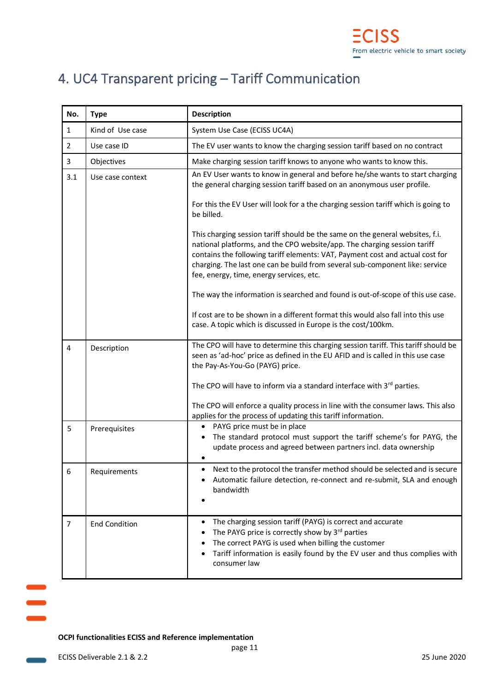## <span id="page-11-0"></span>4. UC4 Transparent pricing – Tariff Communication

| No.            | <b>Type</b>          | <b>Description</b>                                                                                                                                                                                                                                                                                                                                                     |
|----------------|----------------------|------------------------------------------------------------------------------------------------------------------------------------------------------------------------------------------------------------------------------------------------------------------------------------------------------------------------------------------------------------------------|
| $\mathbf{1}$   | Kind of Use case     | System Use Case (ECISS UC4A)                                                                                                                                                                                                                                                                                                                                           |
| $\overline{2}$ | Use case ID          | The EV user wants to know the charging session tariff based on no contract                                                                                                                                                                                                                                                                                             |
| 3              | Objectives           | Make charging session tariff knows to anyone who wants to know this.                                                                                                                                                                                                                                                                                                   |
| 3.1            | Use case context     | An EV User wants to know in general and before he/she wants to start charging<br>the general charging session tariff based on an anonymous user profile.                                                                                                                                                                                                               |
|                |                      | For this the EV User will look for a the charging session tariff which is going to<br>be billed.                                                                                                                                                                                                                                                                       |
|                |                      | This charging session tariff should be the same on the general websites, f.i.<br>national platforms, and the CPO website/app. The charging session tariff<br>contains the following tariff elements: VAT, Payment cost and actual cost for<br>charging. The last one can be build from several sub-component like: service<br>fee, energy, time, energy services, etc. |
|                |                      | The way the information is searched and found is out-of-scope of this use case.                                                                                                                                                                                                                                                                                        |
|                |                      | If cost are to be shown in a different format this would also fall into this use<br>case. A topic which is discussed in Europe is the cost/100km.                                                                                                                                                                                                                      |
| 4              | Description          | The CPO will have to determine this charging session tariff. This tariff should be<br>seen as 'ad-hoc' price as defined in the EU AFID and is called in this use case<br>the Pay-As-You-Go (PAYG) price.                                                                                                                                                               |
|                |                      | The CPO will have to inform via a standard interface with 3rd parties.<br>The CPO will enforce a quality process in line with the consumer laws. This also<br>applies for the process of updating this tariff information.                                                                                                                                             |
| 5              | Prerequisites        | PAYG price must be in place<br>$\bullet$<br>The standard protocol must support the tariff scheme's for PAYG, the<br>$\bullet$<br>update process and agreed between partners incl. data ownership                                                                                                                                                                       |
| 6              | Requirements         | Next to the protocol the transfer method should be selected and is secure<br>٠<br>Automatic failure detection, re-connect and re-submit, SLA and enough<br>bandwidth                                                                                                                                                                                                   |
| 7              | <b>End Condition</b> | The charging session tariff (PAYG) is correct and accurate<br>٠<br>The PAYG price is correctly show by 3rd parties<br>The correct PAYG is used when billing the customer<br>Tariff information is easily found by the EV user and thus complies with<br>٠<br>consumer law                                                                                              |

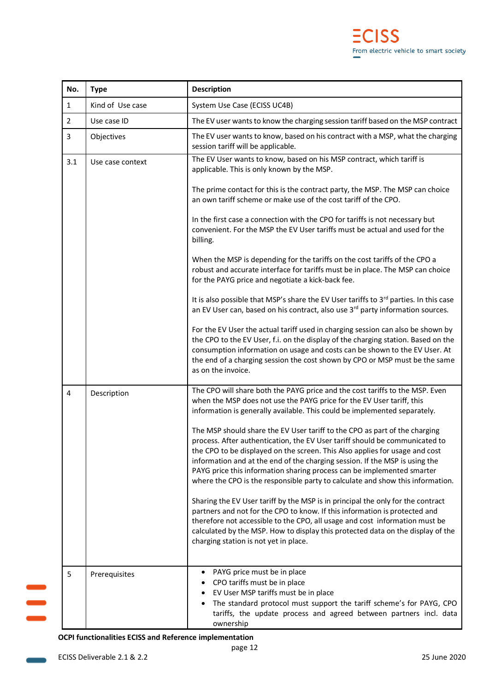| No.            | <b>Type</b>      | <b>Description</b>                                                                                                                                                                                                                                                                                                                                                                                                                                                                  |
|----------------|------------------|-------------------------------------------------------------------------------------------------------------------------------------------------------------------------------------------------------------------------------------------------------------------------------------------------------------------------------------------------------------------------------------------------------------------------------------------------------------------------------------|
| $\mathbf{1}$   | Kind of Use case | System Use Case (ECISS UC4B)                                                                                                                                                                                                                                                                                                                                                                                                                                                        |
| $\overline{2}$ | Use case ID      | The EV user wants to know the charging session tariff based on the MSP contract                                                                                                                                                                                                                                                                                                                                                                                                     |
| 3              | Objectives       | The EV user wants to know, based on his contract with a MSP, what the charging<br>session tariff will be applicable.                                                                                                                                                                                                                                                                                                                                                                |
| 3.1            | Use case context | The EV User wants to know, based on his MSP contract, which tariff is<br>applicable. This is only known by the MSP.                                                                                                                                                                                                                                                                                                                                                                 |
|                |                  | The prime contact for this is the contract party, the MSP. The MSP can choice<br>an own tariff scheme or make use of the cost tariff of the CPO.                                                                                                                                                                                                                                                                                                                                    |
|                |                  | In the first case a connection with the CPO for tariffs is not necessary but<br>convenient. For the MSP the EV User tariffs must be actual and used for the<br>billing.                                                                                                                                                                                                                                                                                                             |
|                |                  | When the MSP is depending for the tariffs on the cost tariffs of the CPO a<br>robust and accurate interface for tariffs must be in place. The MSP can choice<br>for the PAYG price and negotiate a kick-back fee.                                                                                                                                                                                                                                                                   |
|                |                  | It is also possible that MSP's share the EV User tariffs to 3rd parties. In this case<br>an EV User can, based on his contract, also use 3 <sup>rd</sup> party information sources.                                                                                                                                                                                                                                                                                                 |
|                |                  | For the EV User the actual tariff used in charging session can also be shown by<br>the CPO to the EV User, f.i. on the display of the charging station. Based on the<br>consumption information on usage and costs can be shown to the EV User. At<br>the end of a charging session the cost shown by CPO or MSP must be the same<br>as on the invoice.                                                                                                                             |
| 4              | Description      | The CPO will share both the PAYG price and the cost tariffs to the MSP. Even<br>when the MSP does not use the PAYG price for the EV User tariff, this<br>information is generally available. This could be implemented separately.                                                                                                                                                                                                                                                  |
|                |                  | The MSP should share the EV User tariff to the CPO as part of the charging<br>process. After authentication, the EV User tariff should be communicated to<br>the CPO to be displayed on the screen. This Also applies for usage and cost<br>information and at the end of the charging session. If the MSP is using the<br>PAYG price this information sharing process can be implemented smarter<br>where the CPO is the responsible party to calculate and show this information. |
|                |                  | Sharing the EV User tariff by the MSP is in principal the only for the contract<br>partners and not for the CPO to know. If this information is protected and<br>therefore not accessible to the CPO, all usage and cost information must be<br>calculated by the MSP. How to display this protected data on the display of the<br>charging station is not yet in place.                                                                                                            |
| 5              | Prerequisites    | PAYG price must be in place<br>CPO tariffs must be in place<br>EV User MSP tariffs must be in place<br>The standard protocol must support the tariff scheme's for PAYG, CPO<br>٠<br>tariffs, the update process and agreed between partners incl. data<br>ownership                                                                                                                                                                                                                 |

 $\equiv$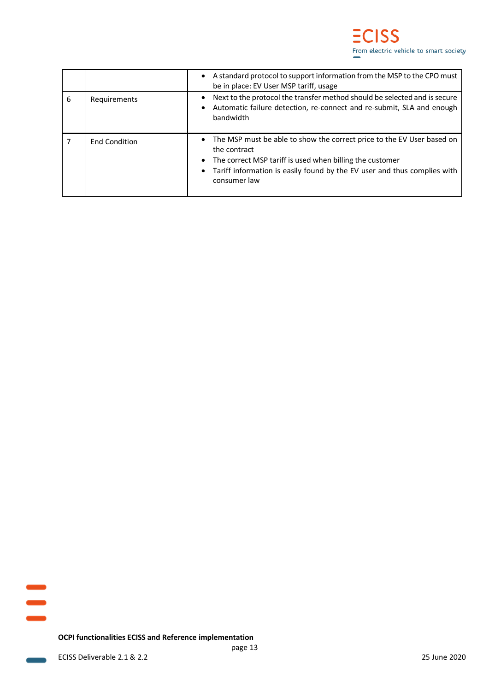|   |                      | A standard protocol to support information from the MSP to the CPO must<br>be in place: EV User MSP tariff, usage                                                                                                                                                        |
|---|----------------------|--------------------------------------------------------------------------------------------------------------------------------------------------------------------------------------------------------------------------------------------------------------------------|
| 6 | Requirements         | Next to the protocol the transfer method should be selected and is secure<br>Automatic failure detection, re-connect and re-submit, SLA and enough<br>bandwidth                                                                                                          |
|   | <b>End Condition</b> | The MSP must be able to show the correct price to the EV User based on<br>the contract<br>The correct MSP tariff is used when billing the customer<br>$\bullet$<br>Tariff information is easily found by the EV user and thus complies with<br>$\bullet$<br>consumer law |

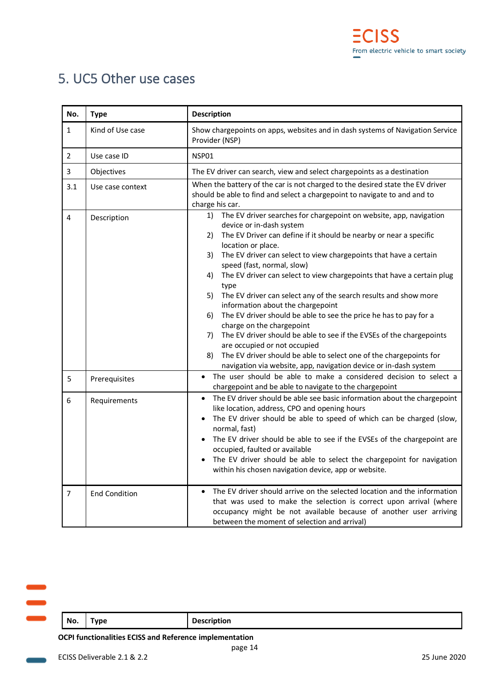## <span id="page-14-0"></span>5. UC5 Other use cases

| No.            | <b>Type</b>          | <b>Description</b>                                                                                                                                                                                                                                                                                                                                                                                                                                                                                                                                                                                                                                                                                                                                                                                                                                                                           |
|----------------|----------------------|----------------------------------------------------------------------------------------------------------------------------------------------------------------------------------------------------------------------------------------------------------------------------------------------------------------------------------------------------------------------------------------------------------------------------------------------------------------------------------------------------------------------------------------------------------------------------------------------------------------------------------------------------------------------------------------------------------------------------------------------------------------------------------------------------------------------------------------------------------------------------------------------|
| $\mathbf{1}$   | Kind of Use case     | Show chargepoints on apps, websites and in dash systems of Navigation Service<br>Provider (NSP)                                                                                                                                                                                                                                                                                                                                                                                                                                                                                                                                                                                                                                                                                                                                                                                              |
| $\overline{2}$ | Use case ID          | NSP01                                                                                                                                                                                                                                                                                                                                                                                                                                                                                                                                                                                                                                                                                                                                                                                                                                                                                        |
| 3              | Objectives           | The EV driver can search, view and select chargepoints as a destination                                                                                                                                                                                                                                                                                                                                                                                                                                                                                                                                                                                                                                                                                                                                                                                                                      |
| 3.1            | Use case context     | When the battery of the car is not charged to the desired state the EV driver<br>should be able to find and select a chargepoint to navigate to and and to<br>charge his car.                                                                                                                                                                                                                                                                                                                                                                                                                                                                                                                                                                                                                                                                                                                |
| 4              | Description          | 1)<br>The EV driver searches for chargepoint on website, app, navigation<br>device or in-dash system<br>The EV Driver can define if it should be nearby or near a specific<br>2)<br>location or place.<br>The EV driver can select to view chargepoints that have a certain<br>3)<br>speed (fast, normal, slow)<br>The EV driver can select to view chargepoints that have a certain plug<br>4)<br>type<br>The EV driver can select any of the search results and show more<br>5)<br>information about the chargepoint<br>The EV driver should be able to see the price he has to pay for a<br>6)<br>charge on the chargepoint<br>The EV driver should be able to see if the EVSEs of the chargepoints<br>7)<br>are occupied or not occupied<br>The EV driver should be able to select one of the chargepoints for<br>8)<br>navigation via website, app, navigation device or in-dash system |
| 5              | Prerequisites        | The user should be able to make a considered decision to select a<br>$\bullet$<br>chargepoint and be able to navigate to the chargepoint                                                                                                                                                                                                                                                                                                                                                                                                                                                                                                                                                                                                                                                                                                                                                     |
| 6              | Requirements         | The EV driver should be able see basic information about the chargepoint<br>like location, address, CPO and opening hours<br>The EV driver should be able to speed of which can be charged (slow,<br>normal, fast)<br>The EV driver should be able to see if the EVSEs of the chargepoint are<br>occupied, faulted or available<br>The EV driver should be able to select the chargepoint for navigation<br>within his chosen navigation device, app or website.                                                                                                                                                                                                                                                                                                                                                                                                                             |
| $\overline{7}$ | <b>End Condition</b> | The EV driver should arrive on the selected location and the information<br>$\bullet$<br>that was used to make the selection is correct upon arrival (where<br>occupancy might be not available because of another user arriving<br>between the moment of selection and arrival)                                                                                                                                                                                                                                                                                                                                                                                                                                                                                                                                                                                                             |

| No.<br><b>Description</b><br><b>Type</b> |  |  |
|------------------------------------------|--|--|
|                                          |  |  |
|                                          |  |  |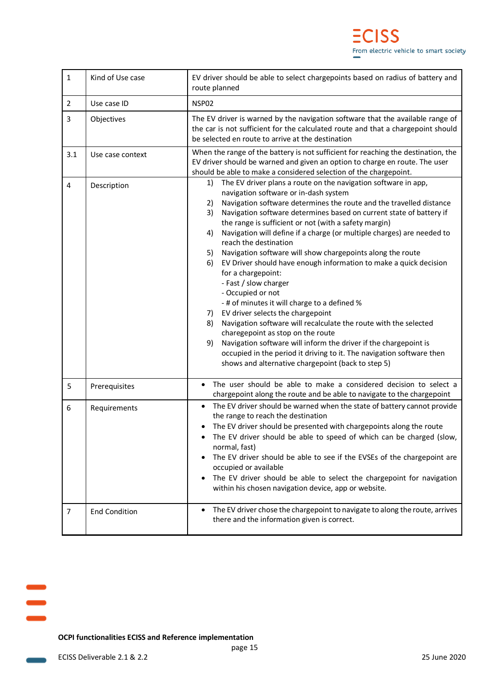| $\mathbf{1}$   | Kind of Use case     | EV driver should be able to select chargepoints based on radius of battery and<br>route planned                                                                                                                                                                                                                                                                                                                                                                                                                                                                                                                                                                                                                                                                                                                                                                                                                                                                                                                                                                                 |  |  |
|----------------|----------------------|---------------------------------------------------------------------------------------------------------------------------------------------------------------------------------------------------------------------------------------------------------------------------------------------------------------------------------------------------------------------------------------------------------------------------------------------------------------------------------------------------------------------------------------------------------------------------------------------------------------------------------------------------------------------------------------------------------------------------------------------------------------------------------------------------------------------------------------------------------------------------------------------------------------------------------------------------------------------------------------------------------------------------------------------------------------------------------|--|--|
| $\overline{2}$ | Use case ID          | NSP02                                                                                                                                                                                                                                                                                                                                                                                                                                                                                                                                                                                                                                                                                                                                                                                                                                                                                                                                                                                                                                                                           |  |  |
| 3              | Objectives           | The EV driver is warned by the navigation software that the available range of<br>the car is not sufficient for the calculated route and that a chargepoint should<br>be selected en route to arrive at the destination                                                                                                                                                                                                                                                                                                                                                                                                                                                                                                                                                                                                                                                                                                                                                                                                                                                         |  |  |
| 3.1            | Use case context     | When the range of the battery is not sufficient for reaching the destination, the<br>EV driver should be warned and given an option to charge en route. The user<br>should be able to make a considered selection of the chargepoint.                                                                                                                                                                                                                                                                                                                                                                                                                                                                                                                                                                                                                                                                                                                                                                                                                                           |  |  |
| $\overline{4}$ | Description          | The EV driver plans a route on the navigation software in app,<br>1)<br>navigation software or in-dash system<br>Navigation software determines the route and the travelled distance<br>2)<br>3)<br>Navigation software determines based on current state of battery if<br>the range is sufficient or not (with a safety margin)<br>Navigation will define if a charge (or multiple charges) are needed to<br>4)<br>reach the destination<br>Navigation software will show chargepoints along the route<br>5)<br>EV Driver should have enough information to make a quick decision<br>6)<br>for a chargepoint:<br>- Fast / slow charger<br>- Occupied or not<br>- # of minutes it will charge to a defined %<br>EV driver selects the chargepoint<br>7)<br>Navigation software will recalculate the route with the selected<br>8)<br>charegepoint as stop on the route<br>Navigation software will inform the driver if the chargepoint is<br>9)<br>occupied in the period it driving to it. The navigation software then<br>shows and alternative chargepoint (back to step 5) |  |  |
| 5              | Prerequisites        | The user should be able to make a considered decision to select a<br>chargepoint along the route and be able to navigate to the chargepoint                                                                                                                                                                                                                                                                                                                                                                                                                                                                                                                                                                                                                                                                                                                                                                                                                                                                                                                                     |  |  |
| 6              | Requirements         | The EV driver should be warned when the state of battery cannot provide<br>$\bullet$<br>the range to reach the destination<br>The EV driver should be presented with chargepoints along the route<br>The EV driver should be able to speed of which can be charged (slow,<br>normal, fast)<br>The EV driver should be able to see if the EVSEs of the chargepoint are<br>occupied or available<br>The EV driver should be able to select the chargepoint for navigation<br>within his chosen navigation device, app or website.                                                                                                                                                                                                                                                                                                                                                                                                                                                                                                                                                 |  |  |
| $\overline{7}$ | <b>End Condition</b> | The EV driver chose the chargepoint to navigate to along the route, arrives<br>there and the information given is correct.                                                                                                                                                                                                                                                                                                                                                                                                                                                                                                                                                                                                                                                                                                                                                                                                                                                                                                                                                      |  |  |

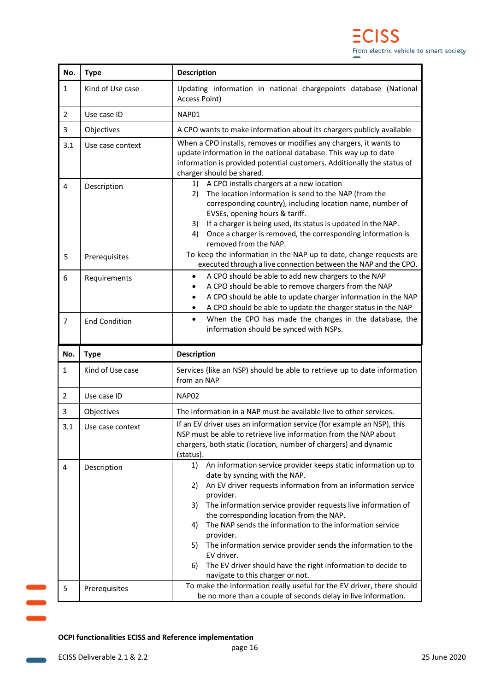| No.            | <b>Type</b>                  | <b>Description</b>                                                                                                                                                                                                                                                                                                                                                                                                                                                                                                                                                                                                                                                  |  |  |  |  |
|----------------|------------------------------|---------------------------------------------------------------------------------------------------------------------------------------------------------------------------------------------------------------------------------------------------------------------------------------------------------------------------------------------------------------------------------------------------------------------------------------------------------------------------------------------------------------------------------------------------------------------------------------------------------------------------------------------------------------------|--|--|--|--|
| 1              | Kind of Use case             | Updating information in national chargepoints database (National<br>Access Point)                                                                                                                                                                                                                                                                                                                                                                                                                                                                                                                                                                                   |  |  |  |  |
| 2              | Use case ID                  | NAP01                                                                                                                                                                                                                                                                                                                                                                                                                                                                                                                                                                                                                                                               |  |  |  |  |
| 3              | Objectives                   | A CPO wants to make information about its chargers publicly available                                                                                                                                                                                                                                                                                                                                                                                                                                                                                                                                                                                               |  |  |  |  |
| 3.1            | Use case context             | When a CPO installs, removes or modifies any chargers, it wants to<br>update information in the national database. This way up to date<br>information is provided potential customers. Additionally the status of<br>charger should be shared.                                                                                                                                                                                                                                                                                                                                                                                                                      |  |  |  |  |
| 4              | Description                  | A CPO installs chargers at a new location<br>1)<br>The location information is send to the NAP (from the<br>2)<br>corresponding country), including location name, number of<br>EVSEs, opening hours & tariff.<br>If a charger is being used, its status is updated in the NAP.<br>3)<br>Once a charger is removed, the corresponding information is<br>4)<br>removed from the NAP.                                                                                                                                                                                                                                                                                 |  |  |  |  |
| 5              | Prerequisites                | To keep the information in the NAP up to date, change requests are<br>executed through a live connection between the NAP and the CPO.                                                                                                                                                                                                                                                                                                                                                                                                                                                                                                                               |  |  |  |  |
| 6              | Requirements                 | A CPO should be able to add new chargers to the NAP<br>$\bullet$<br>A CPO should be able to remove chargers from the NAP<br>$\bullet$<br>A CPO should be able to update charger information in the NAP<br>$\bullet$<br>A CPO should be able to update the charger status in the NAP<br>$\bullet$                                                                                                                                                                                                                                                                                                                                                                    |  |  |  |  |
| 7              | <b>End Condition</b>         | When the CPO has made the changes in the database, the<br>$\bullet$<br>information should be synced with NSPs.                                                                                                                                                                                                                                                                                                                                                                                                                                                                                                                                                      |  |  |  |  |
| No.            | <b>Type</b>                  | <b>Description</b>                                                                                                                                                                                                                                                                                                                                                                                                                                                                                                                                                                                                                                                  |  |  |  |  |
| $\mathbf{1}$   | Kind of Use case             | Services (like an NSP) should be able to retrieve up to date information                                                                                                                                                                                                                                                                                                                                                                                                                                                                                                                                                                                            |  |  |  |  |
|                |                              | from an NAP                                                                                                                                                                                                                                                                                                                                                                                                                                                                                                                                                                                                                                                         |  |  |  |  |
| $\overline{2}$ | Use case ID                  | NAP02                                                                                                                                                                                                                                                                                                                                                                                                                                                                                                                                                                                                                                                               |  |  |  |  |
| 3              | Objectives                   | The information in a NAP must be available live to other services.                                                                                                                                                                                                                                                                                                                                                                                                                                                                                                                                                                                                  |  |  |  |  |
| 3.1            | Use case context             | If an EV driver uses an information service (for example an NSP), this<br>NSP must be able to retrieve live information from the NAP about<br>chargers, both static (location, number of chargers) and dynamic<br>(status).                                                                                                                                                                                                                                                                                                                                                                                                                                         |  |  |  |  |
| 4              | Description<br>Prerequisites | An information service provider keeps static information up to<br>1)<br>date by syncing with the NAP.<br>An EV driver requests information from an information service<br>2)<br>provider.<br>The information service provider requests live information of<br>3)<br>the corresponding location from the NAP.<br>The NAP sends the information to the information service<br>4)<br>provider.<br>The information service provider sends the information to the<br>5)<br>EV driver.<br>The EV driver should have the right information to decide to<br>6)<br>navigate to this charger or not.<br>To make the information really useful for the EV driver, there should |  |  |  |  |



 $\equiv$ 

**Contract**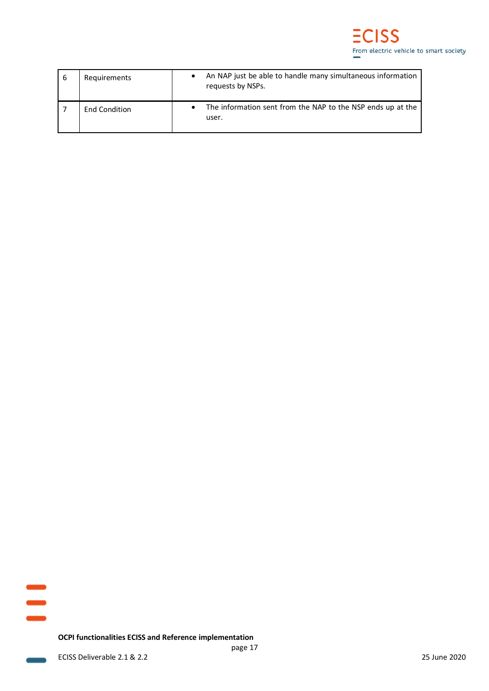| 6 | Requirements         | An NAP just be able to handle many simultaneous information<br>requests by NSPs. |
|---|----------------------|----------------------------------------------------------------------------------|
|   | <b>End Condition</b> | The information sent from the NAP to the NSP ends up at the<br>user.             |

**Contract**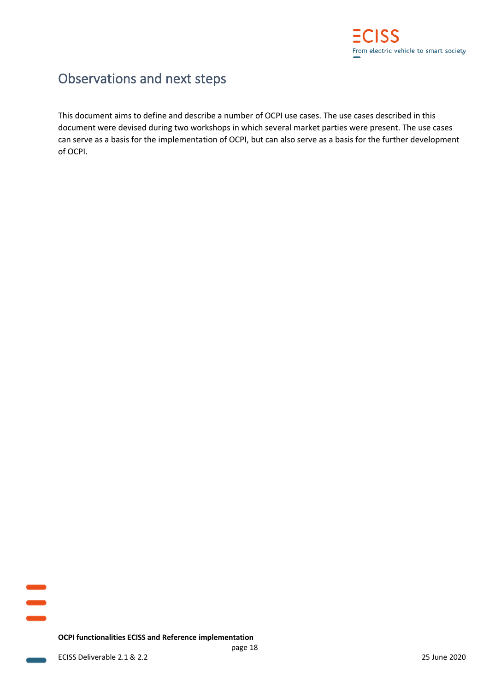

## <span id="page-18-0"></span>Observations and next steps

This document aims to define and describe a number of OCPI use cases. The use cases described in this document were devised during two workshops in which several market parties were present. The use cases can serve as a basis for the implementation of OCPI, but can also serve as a basis for the further development of OCPI.

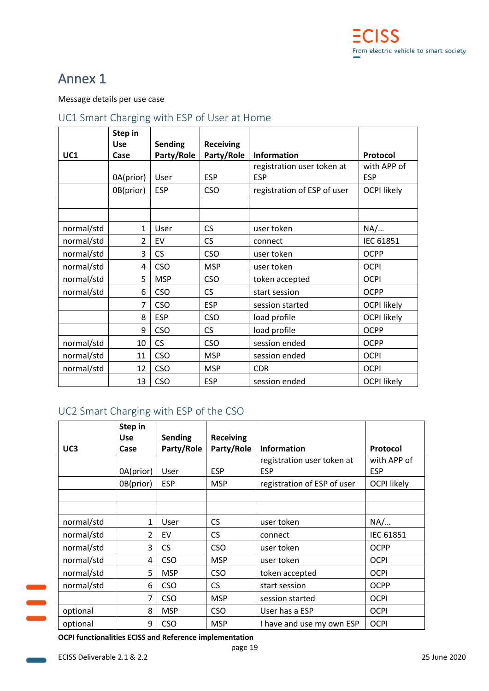## <span id="page-19-0"></span>Annex 1

#### Message details per use case

### <span id="page-19-1"></span>UC1 Smart Charging with ESP of User at Home

|            | Step in    |                |                  |                             |                    |
|------------|------------|----------------|------------------|-----------------------------|--------------------|
|            | <b>Use</b> | <b>Sending</b> | <b>Receiving</b> |                             |                    |
| UC1        | Case       | Party/Role     | Party/Role       | <b>Information</b>          | Protocol           |
|            |            |                |                  | registration user token at  | with APP of        |
|            | 0A(prior)  | User           | <b>ESP</b>       | <b>ESP</b>                  | <b>ESP</b>         |
|            | 0B(prior)  | <b>ESP</b>     | <b>CSO</b>       | registration of ESP of user | <b>OCPI likely</b> |
|            |            |                |                  |                             |                    |
|            |            |                |                  |                             |                    |
| normal/std | 1          | User           | <b>CS</b>        | user token                  | NA/                |
| normal/std | 2          | EV             | <b>CS</b>        | connect                     | IEC 61851          |
| normal/std | 3          | <b>CS</b>      | <b>CSO</b>       | user token                  | <b>OCPP</b>        |
| normal/std | 4          | <b>CSO</b>     | <b>MSP</b>       | user token                  | <b>OCPI</b>        |
| normal/std | 5          | <b>MSP</b>     | <b>CSO</b>       | token accepted              | <b>OCPI</b>        |
| normal/std | 6          | <b>CSO</b>     | <b>CS</b>        | start session               | <b>OCPP</b>        |
|            | 7          | <b>CSO</b>     | <b>ESP</b>       | session started             | <b>OCPI likely</b> |
|            | 8          | <b>ESP</b>     | <b>CSO</b>       | load profile                | <b>OCPI likely</b> |
|            | 9          | <b>CSO</b>     | <b>CS</b>        | load profile                | <b>OCPP</b>        |
| normal/std | 10         | <b>CS</b>      | <b>CSO</b>       | session ended               | <b>OCPP</b>        |
| normal/std | 11         | <b>CSO</b>     | <b>MSP</b>       | session ended               | <b>OCPI</b>        |
| normal/std | 12         | <b>CSO</b>     | <b>MSP</b>       | <b>CDR</b>                  | <b>OCPI</b>        |
|            | 13         | <b>CSO</b>     | <b>ESP</b>       | session ended               | <b>OCPI likely</b> |

## <span id="page-19-2"></span>UC2 Smart Charging with ESP of the CSO

|                 | Step in        |                |                  |                             |                    |
|-----------------|----------------|----------------|------------------|-----------------------------|--------------------|
|                 | <b>Use</b>     | <b>Sending</b> | <b>Receiving</b> |                             |                    |
| UC <sub>3</sub> | Case           | Party/Role     | Party/Role       | <b>Information</b>          | Protocol           |
|                 |                |                |                  | registration user token at  | with APP of        |
|                 | 0A(prior)      | User           | <b>ESP</b>       | <b>ESP</b>                  | <b>ESP</b>         |
|                 | 0B(prior)      | <b>ESP</b>     | <b>MSP</b>       | registration of ESP of user | <b>OCPI likely</b> |
|                 |                |                |                  |                             |                    |
|                 |                |                |                  |                             |                    |
| normal/std      | $\mathbf{1}$   | User           | <b>CS</b>        | user token                  | NA/                |
| normal/std      | $\overline{2}$ | EV             | <b>CS</b>        | connect                     | <b>IEC 61851</b>   |
| normal/std      | 3              | <b>CS</b>      | <b>CSO</b>       | user token                  | <b>OCPP</b>        |
| normal/std      | 4              | <b>CSO</b>     | <b>MSP</b>       | user token                  | <b>OCPI</b>        |
| normal/std      | 5              | <b>MSP</b>     | <b>CSO</b>       | token accepted              | <b>OCPI</b>        |
| normal/std      | 6              | <b>CSO</b>     | <b>CS</b>        | start session               | <b>OCPP</b>        |
|                 | 7              | <b>CSO</b>     | <b>MSP</b>       | session started             | <b>OCPI</b>        |
| optional        | 8              | <b>MSP</b>     | <b>CSO</b>       | User has a ESP              | <b>OCPI</b>        |
| optional        | 9              | <b>CSO</b>     | <b>MSP</b>       | I have and use my own ESP   | <b>OCPI</b>        |

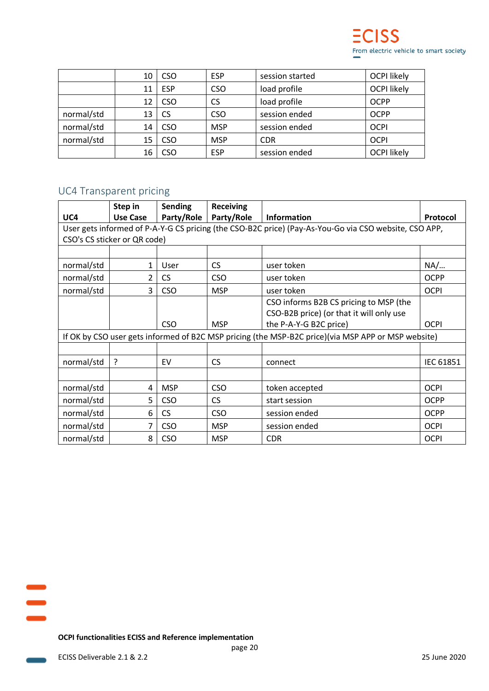|            | 10 | <b>CSO</b> | <b>ESP</b> | session started | <b>OCPI likely</b> |
|------------|----|------------|------------|-----------------|--------------------|
|            | 11 | <b>ESP</b> | <b>CSO</b> | load profile    | <b>OCPI likely</b> |
|            | 12 | <b>CSO</b> | <b>CS</b>  | load profile    | <b>OCPP</b>        |
| normal/std | 13 | <b>CS</b>  | <b>CSO</b> | session ended   | <b>OCPP</b>        |
| normal/std | 14 | <b>CSO</b> | <b>MSP</b> | session ended   | <b>OCPI</b>        |
| normal/std | 15 | <b>CSO</b> | <b>MSP</b> | <b>CDR</b>      | <b>OCPI</b>        |
|            | 16 | CSO        | <b>ESP</b> | session ended   | <b>OCPI likely</b> |

### <span id="page-20-0"></span>UC4 Transparent pricing

|                                                                                                       | Step in         | <b>Sending</b> | <b>Receiving</b> |                                          |             |  |  |  |
|-------------------------------------------------------------------------------------------------------|-----------------|----------------|------------------|------------------------------------------|-------------|--|--|--|
| UC4                                                                                                   | <b>Use Case</b> | Party/Role     | Party/Role       | <b>Information</b>                       | Protocol    |  |  |  |
| User gets informed of P-A-Y-G CS pricing (the CSO-B2C price) (Pay-As-You-Go via CSO website, CSO APP, |                 |                |                  |                                          |             |  |  |  |
| CSO's CS sticker or QR code)                                                                          |                 |                |                  |                                          |             |  |  |  |
|                                                                                                       |                 |                |                  |                                          |             |  |  |  |
| normal/std                                                                                            | 1               | User           | <b>CS</b>        | user token                               | NA/         |  |  |  |
| normal/std                                                                                            | 2               | <b>CS</b>      | <b>CSO</b>       | user token                               | <b>OCPP</b> |  |  |  |
| normal/std                                                                                            | 3               | <b>CSO</b>     | <b>MSP</b>       | user token                               | <b>OCPI</b> |  |  |  |
|                                                                                                       |                 |                |                  | CSO informs B2B CS pricing to MSP (the   |             |  |  |  |
|                                                                                                       |                 |                |                  | CSO-B2B price) (or that it will only use |             |  |  |  |
|                                                                                                       |                 | <b>CSO</b>     | <b>MSP</b>       | the P-A-Y-G B2C price)                   | <b>OCPI</b> |  |  |  |
| If OK by CSO user gets informed of B2C MSP pricing (the MSP-B2C price)(via MSP APP or MSP website)    |                 |                |                  |                                          |             |  |  |  |
|                                                                                                       |                 |                |                  |                                          |             |  |  |  |
| normal/std                                                                                            | ?               | EV             | <b>CS</b>        | connect                                  | IEC 61851   |  |  |  |
|                                                                                                       |                 |                |                  |                                          |             |  |  |  |
| normal/std                                                                                            | 4               | <b>MSP</b>     | <b>CSO</b>       | token accepted                           | <b>OCPI</b> |  |  |  |
| normal/std                                                                                            | 5               | <b>CSO</b>     | <b>CS</b>        | start session                            | <b>OCPP</b> |  |  |  |
| normal/std                                                                                            | 6               | <b>CS</b>      | <b>CSO</b>       | session ended                            | <b>OCPP</b> |  |  |  |
| normal/std                                                                                            | 7               | <b>CSO</b>     | <b>MSP</b>       | session ended                            | <b>OCPI</b> |  |  |  |
| normal/std                                                                                            | 8               | CSO            | <b>MSP</b>       | <b>CDR</b>                               | <b>OCPI</b> |  |  |  |

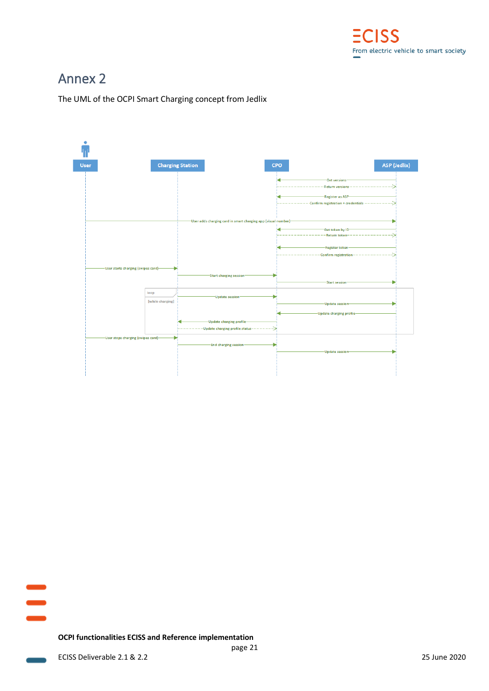

## <span id="page-21-0"></span>Annex 2

The UML of the OCPI Smart Charging concept from Jedlix